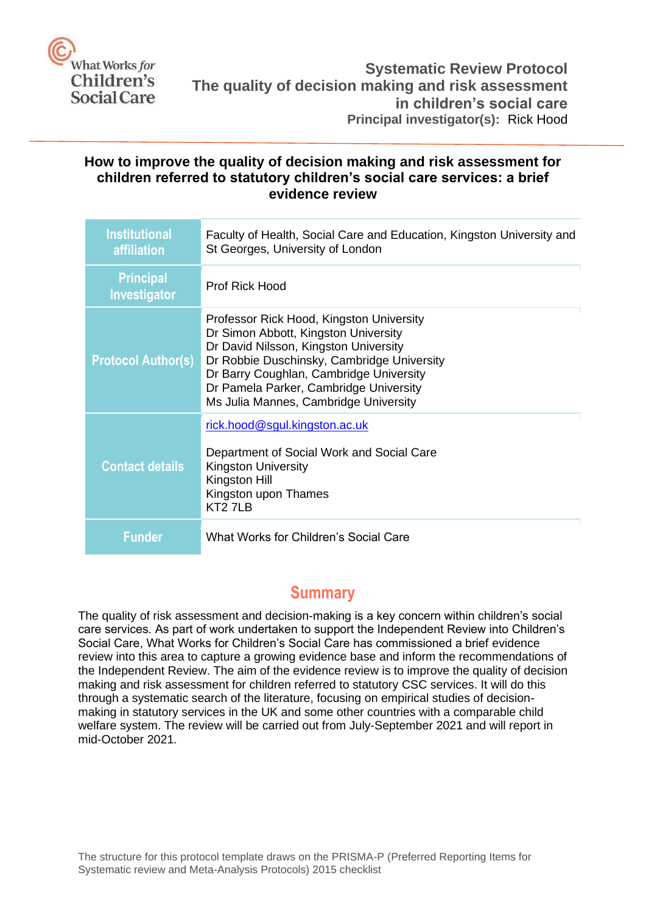

### **How to improve the quality of decision making and risk assessment for children referred to statutory children's social care services: a brief evidence review**

| <b>Institutional</b><br><b>affiliation</b> | Faculty of Health, Social Care and Education, Kingston University and<br>St Georges, University of London                                                                                                                                                                                             |
|--------------------------------------------|-------------------------------------------------------------------------------------------------------------------------------------------------------------------------------------------------------------------------------------------------------------------------------------------------------|
| <b>Principal</b><br><b>Investigator</b>    | <b>Prof Rick Hood</b>                                                                                                                                                                                                                                                                                 |
| <b>Protocol Author(s)</b>                  | Professor Rick Hood, Kingston University<br>Dr Simon Abbott, Kingston University<br>Dr David Nilsson, Kingston University<br>Dr Robbie Duschinsky, Cambridge University<br>Dr Barry Coughlan, Cambridge University<br>Dr Pamela Parker, Cambridge University<br>Ms Julia Mannes, Cambridge University |
| Contact details                            | rick.hood@sgul.kingston.ac.uk<br>Department of Social Work and Social Care<br><b>Kingston University</b><br>Kingston Hill<br>Kingston upon Thames<br>KT <sub>2</sub> 7LB                                                                                                                              |
| Funder                                     | What Works for Children's Social Care                                                                                                                                                                                                                                                                 |

## **Summary**

<span id="page-0-1"></span><span id="page-0-0"></span>The quality of risk assessment and decision-making is a key concern within children's social care services. As part of work undertaken to support the Independent Review into Children's Social Care, What Works for Children's Social Care has commissioned a brief evidence review into this area to capture a growing evidence base and inform the recommendations of the Independent Review. The aim of the evidence review is to improve the quality of decision making and risk assessment for children referred to statutory CSC services. It will do this through a systematic search of the literature, focusing on empirical studies of decisionmaking in statutory services in the UK and some other countries with a comparable child welfare system. The review will be carried out from July-September 2021 and will report in mid-October 2021.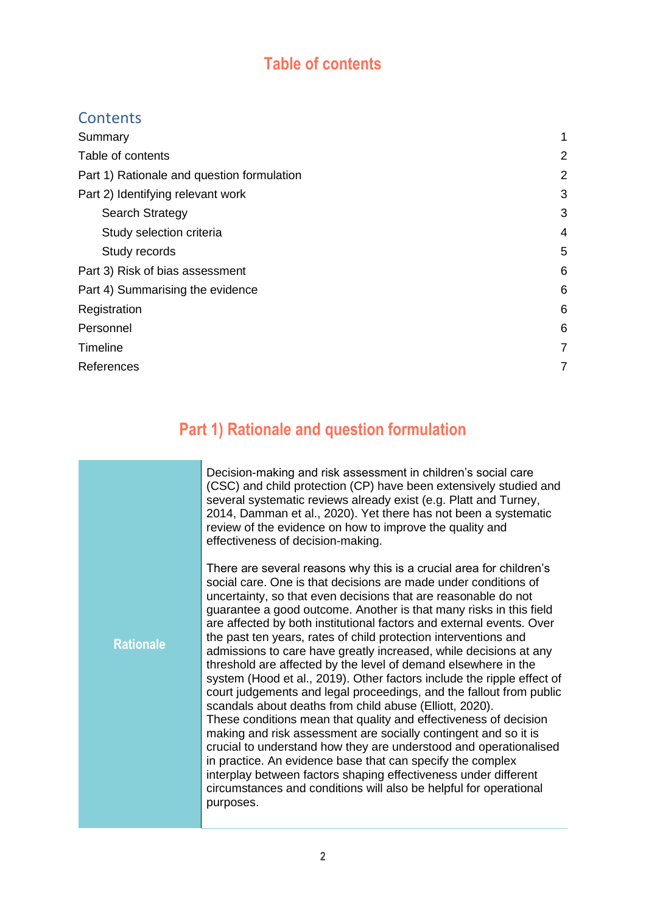# **Table of contents**

# **Contents**

| 1              |
|----------------|
| $\overline{2}$ |
| $\overline{2}$ |
| 3              |
| 3              |
| 4              |
| 5              |
| 6              |
| 6              |
| 6              |
| 6              |
| $\overline{7}$ |
| 7              |
|                |

# **Part 1) Rationale and question formulation**

<span id="page-1-0"></span>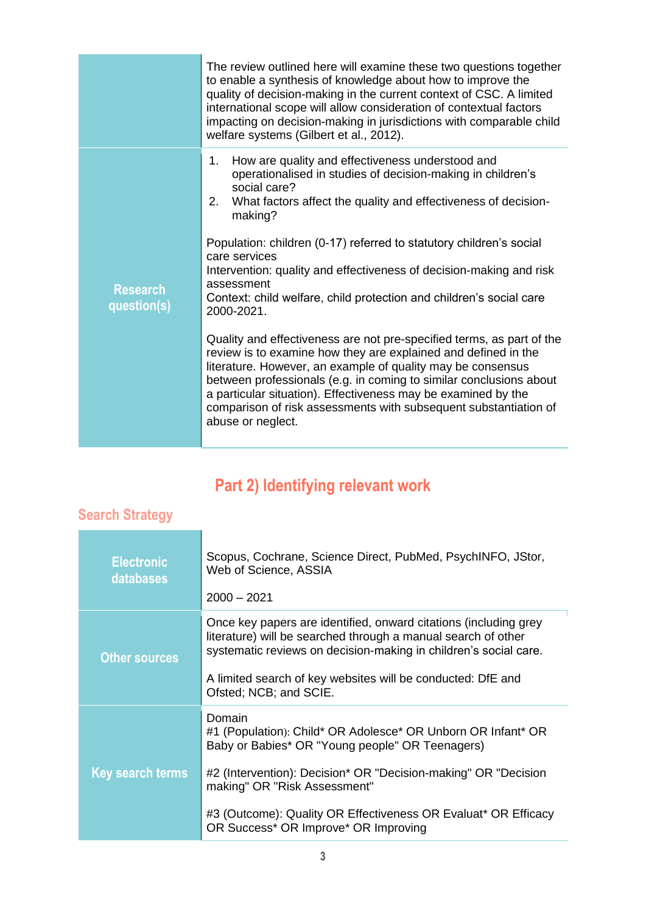|                                | The review outlined here will examine these two questions together<br>to enable a synthesis of knowledge about how to improve the<br>quality of decision-making in the current context of CSC. A limited<br>international scope will allow consideration of contextual factors<br>impacting on decision-making in jurisdictions with comparable child<br>welfare systems (Gilbert et al., 2012).                                                                                           |
|--------------------------------|--------------------------------------------------------------------------------------------------------------------------------------------------------------------------------------------------------------------------------------------------------------------------------------------------------------------------------------------------------------------------------------------------------------------------------------------------------------------------------------------|
| <b>Research</b><br>question(s) | How are quality and effectiveness understood and<br>1.<br>operationalised in studies of decision-making in children's<br>social care?<br>What factors affect the quality and effectiveness of decision-<br>2.<br>making?<br>Population: children (0-17) referred to statutory children's social<br>care services<br>Intervention: quality and effectiveness of decision-making and risk<br>assessment<br>Context: child welfare, child protection and children's social care<br>2000-2021. |
|                                | Quality and effectiveness are not pre-specified terms, as part of the<br>review is to examine how they are explained and defined in the<br>literature. However, an example of quality may be consensus<br>between professionals (e.g. in coming to similar conclusions about<br>a particular situation). Effectiveness may be examined by the<br>comparison of risk assessments with subsequent substantiation of<br>abuse or neglect.                                                     |

# **Part 2) Identifying relevant work**

## <span id="page-2-1"></span><span id="page-2-0"></span>**Search Strategy**

| <b>Electronic</b><br>databases | Scopus, Cochrane, Science Direct, PubMed, PsychINFO, JStor,<br>Web of Science, ASSIA<br>$2000 - 2021$                                                                                                                                                                                                                                 |
|--------------------------------|---------------------------------------------------------------------------------------------------------------------------------------------------------------------------------------------------------------------------------------------------------------------------------------------------------------------------------------|
| <b>Other sources</b>           | Once key papers are identified, onward citations (including grey<br>literature) will be searched through a manual search of other<br>systematic reviews on decision-making in children's social care.<br>A limited search of key websites will be conducted: DfE and<br>Ofsted; NCB; and SCIE.                                        |
| <b>Key search terms</b>        | Domain<br>#1 (Population): Child* OR Adolesce* OR Unborn OR Infant* OR<br>Baby or Babies* OR "Young people" OR Teenagers)<br>#2 (Intervention): Decision* OR "Decision-making" OR "Decision<br>making" OR "Risk Assessment"<br>#3 (Outcome): Quality OR Effectiveness OR Evaluat* OR Efficacy<br>OR Success* OR Improve* OR Improving |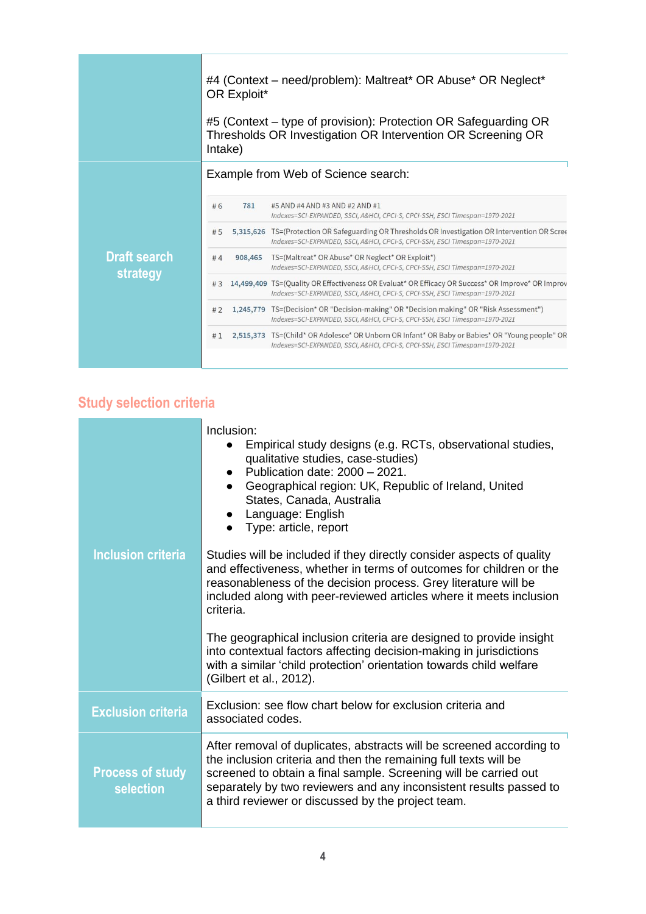#4 (Context – need/problem): Maltreat\* OR Abuse\* OR Neglect\* OR Exploit\* #5 (Context – type of provision): Protection OR Safeguarding OR Thresholds OR Investigation OR Intervention OR Screening OR Intake) Example from Web of Science search:  $#6$ 781 #5 AND #4 AND #3 AND #2 AND #1 Indexes=SCI-EXPANDED, SSCI, A&HCI, CPCI-S, CPCI-SSH, ESCI Timespan=1970-2021 #5 5,315,626 TS=(Protection OR Safeguarding OR Thresholds OR Investigation OR Intervention OR Scree Indexes=SCI-EXPANDED, SSCI, A&HCI, CPCI-S, CPCI-SSH, ESCI Timespan=1970-2021 **Draft search**  908,465 TS=(Maltreat\* OR Abuse\* OR Neglect\* OR Exploit\*)  $#4$ Indexes=SCI-EXPANDED, SSCI, A&HCI, CPCI-S, CPCI-SSH, ESCI Timespan=1970-2021 **strategy** #3 14,499,409 TS=(Quality OR Effectiveness OR Evaluat\* OR Efficacy OR Success\* OR Improve\* OR Improv Indexes=SCI-EXPANDED, SSCI, A&HCI, CPCI-S, CPCI-SSH, ESCI Timespan=1970-2021 #2 1,245,779 TS=(Decision\* OR "Decision-making" OR "Decision making" OR "Risk Assessment") Indexes=SCI-EXPANDED, SSCI, A&HCI, CPCI-S, CPCI-SSH, ESCI Timespan=1970-2021 #1 2,515,373 TS=(Child\* OR Adolesce\* OR Unborn OR Infant\* OR Baby or Babies\* OR "Young people" OR Indexes=SCI-EXPANDED, SSCI, A&HCI, CPCI-S, CPCI-SSH, ESCI Timespan=1970-2021

## <span id="page-3-0"></span>**Study selection criteria**

|                                      | Inclusion:<br>Empirical study designs (e.g. RCTs, observational studies,<br>qualitative studies, case-studies)<br>Publication date: 2000 - 2021.<br>Geographical region: UK, Republic of Ireland, United<br>States, Canada, Australia<br>Language: English<br>Type: article, report                                                      |
|--------------------------------------|------------------------------------------------------------------------------------------------------------------------------------------------------------------------------------------------------------------------------------------------------------------------------------------------------------------------------------------|
| <b>Inclusion criteria</b>            | Studies will be included if they directly consider aspects of quality<br>and effectiveness, whether in terms of outcomes for children or the<br>reasonableness of the decision process. Grey literature will be<br>included along with peer-reviewed articles where it meets inclusion<br>criteria.                                      |
|                                      | The geographical inclusion criteria are designed to provide insight<br>into contextual factors affecting decision-making in jurisdictions<br>with a similar 'child protection' orientation towards child welfare<br>(Gilbert et al., 2012).                                                                                              |
| <b>Exclusion criteria</b>            | Exclusion: see flow chart below for exclusion criteria and<br>associated codes.                                                                                                                                                                                                                                                          |
| <b>Process of study</b><br>selection | After removal of duplicates, abstracts will be screened according to<br>the inclusion criteria and then the remaining full texts will be<br>screened to obtain a final sample. Screening will be carried out<br>separately by two reviewers and any inconsistent results passed to<br>a third reviewer or discussed by the project team. |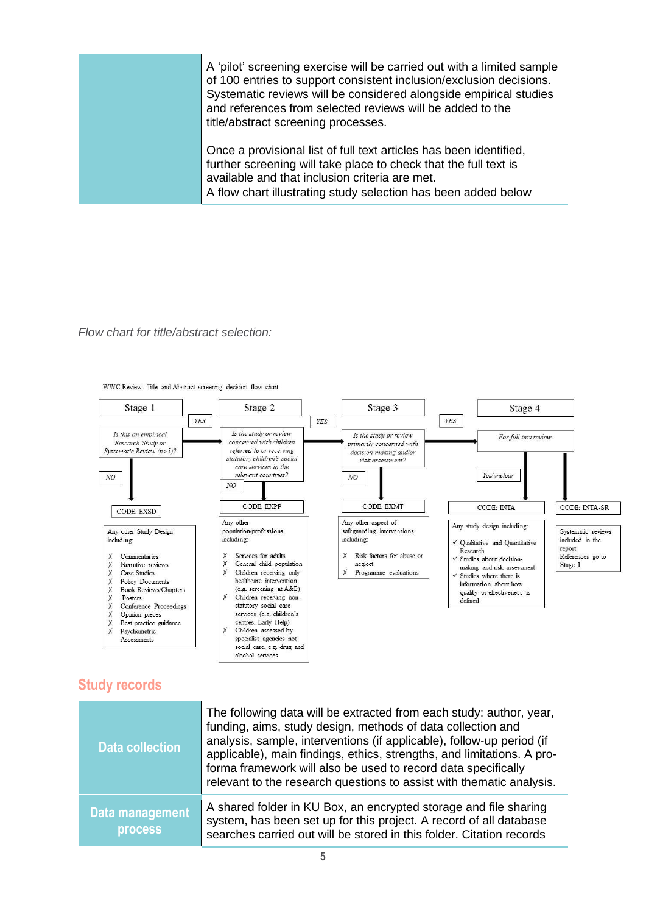A 'pilot' screening exercise will be carried out with a limited sample of 100 entries to support consistent inclusion/exclusion decisions. Systematic reviews will be considered alongside empirical studies and references from selected reviews will be added to the title/abstract screening processes.

> Once a provisional list of full text articles has been identified, further screening will take place to check that the full text is available and that inclusion criteria are met. A flow chart illustrating study selection has been added below

#### *Flow chart for title/abstract selection:*



WWC Review: Title and Abstract screening decision flow chart

### <span id="page-4-0"></span>**Study records**

| <b>Data collection</b>                   | The following data will be extracted from each study: author, year,<br>funding, aims, study design, methods of data collection and<br>analysis, sample, interventions (if applicable), follow-up period (if<br>applicable), main findings, ethics, strengths, and limitations. A pro-<br>forma framework will also be used to record data specifically<br>relevant to the research questions to assist with thematic analysis. |
|------------------------------------------|--------------------------------------------------------------------------------------------------------------------------------------------------------------------------------------------------------------------------------------------------------------------------------------------------------------------------------------------------------------------------------------------------------------------------------|
| <b>Data management</b><br><b>process</b> | A shared folder in KU Box, an encrypted storage and file sharing<br>system, has been set up for this project. A record of all database<br>searches carried out will be stored in this folder. Citation records                                                                                                                                                                                                                 |

social care, e.g. drug and alcohol services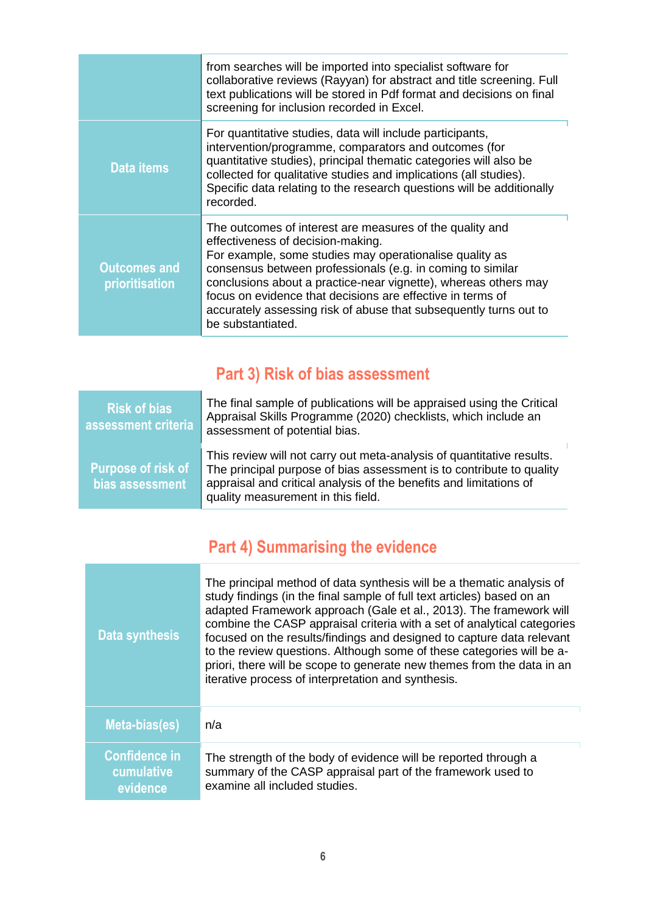|                                       | from searches will be imported into specialist software for<br>collaborative reviews (Rayyan) for abstract and title screening. Full<br>text publications will be stored in Pdf format and decisions on final<br>screening for inclusion recorded in Excel.                                                                                                                                                                                       |
|---------------------------------------|---------------------------------------------------------------------------------------------------------------------------------------------------------------------------------------------------------------------------------------------------------------------------------------------------------------------------------------------------------------------------------------------------------------------------------------------------|
| <b>Data items</b>                     | For quantitative studies, data will include participants,<br>intervention/programme, comparators and outcomes (for<br>quantitative studies), principal thematic categories will also be<br>collected for qualitative studies and implications (all studies).<br>Specific data relating to the research questions will be additionally<br>recorded.                                                                                                |
| <b>Outcomes and</b><br>prioritisation | The outcomes of interest are measures of the quality and<br>effectiveness of decision-making.<br>For example, some studies may operationalise quality as<br>consensus between professionals (e.g. in coming to similar<br>conclusions about a practice-near vignette), whereas others may<br>focus on evidence that decisions are effective in terms of<br>accurately assessing risk of abuse that subsequently turns out to<br>be substantiated. |

# **Part 3) Risk of bias assessment**

<span id="page-5-0"></span>

| <b>Risk of bias</b><br>assessment criteria   | The final sample of publications will be appraised using the Critical<br>Appraisal Skills Programme (2020) checklists, which include an<br>assessment of potential bias.                                                                                  |
|----------------------------------------------|-----------------------------------------------------------------------------------------------------------------------------------------------------------------------------------------------------------------------------------------------------------|
| <b>Purpose of risk of</b><br>bias assessment | This review will not carry out meta-analysis of quantitative results.<br>The principal purpose of bias assessment is to contribute to quality<br>appraisal and critical analysis of the benefits and limitations of<br>quality measurement in this field. |

# **Part 4) Summarising the evidence**

<span id="page-5-1"></span>

| <b>Data synthesis</b>                          | The principal method of data synthesis will be a thematic analysis of<br>study findings (in the final sample of full text articles) based on an<br>adapted Framework approach (Gale et al., 2013). The framework will<br>combine the CASP appraisal criteria with a set of analytical categories<br>focused on the results/findings and designed to capture data relevant<br>to the review questions. Although some of these categories will be a-<br>priori, there will be scope to generate new themes from the data in an<br>iterative process of interpretation and synthesis. |
|------------------------------------------------|------------------------------------------------------------------------------------------------------------------------------------------------------------------------------------------------------------------------------------------------------------------------------------------------------------------------------------------------------------------------------------------------------------------------------------------------------------------------------------------------------------------------------------------------------------------------------------|
| Meta-bias(es)                                  | n/a                                                                                                                                                                                                                                                                                                                                                                                                                                                                                                                                                                                |
| <b>Confidence in</b><br>cumulative<br>evidence | The strength of the body of evidence will be reported through a<br>summary of the CASP appraisal part of the framework used to<br>examine all included studies.                                                                                                                                                                                                                                                                                                                                                                                                                    |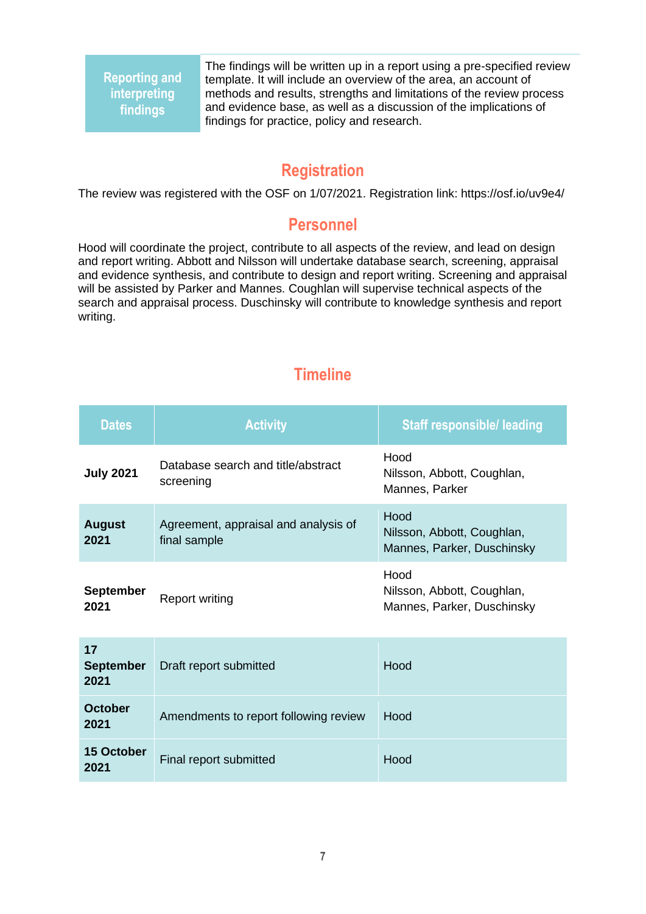**Reporting and interpreting findings**

The findings will be written up in a report using a pre-specified review template. It will include an overview of the area, an account of methods and results, strengths and limitations of the review process and evidence base, as well as a discussion of the implications of findings for practice, policy and research.

## **Registration**

<span id="page-6-0"></span>The review was registered with the OSF on 1/07/2021. Registration link: https://osf.io/uv9e4/

### **Personnel**

<span id="page-6-1"></span>Hood will coordinate the project, contribute to all aspects of the review, and lead on design and report writing. Abbott and Nilsson will undertake database search, screening, appraisal and evidence synthesis, and contribute to design and report writing. Screening and appraisal will be assisted by Parker and Mannes. Coughlan will supervise technical aspects of the search and appraisal process. Duschinsky will contribute to knowledge synthesis and report writing.

## **Timeline**

<span id="page-6-2"></span>

| <b>Dates</b>                   | <b>Activity</b>                                      | <b>Staff responsible/ leading</b>                                |
|--------------------------------|------------------------------------------------------|------------------------------------------------------------------|
| <b>July 2021</b>               | Database search and title/abstract<br>screening      | Hood<br>Nilsson, Abbott, Coughlan,<br>Mannes, Parker             |
| <b>August</b><br>2021          | Agreement, appraisal and analysis of<br>final sample | Hood<br>Nilsson, Abbott, Coughlan,<br>Mannes, Parker, Duschinsky |
| <b>September</b><br>2021       | <b>Report writing</b>                                | Hood<br>Nilsson, Abbott, Coughlan,<br>Mannes, Parker, Duschinsky |
| 17<br><b>September</b><br>2021 | Draft report submitted                               | Hood                                                             |
| <b>October</b><br>2021         | Amendments to report following review                | Hood                                                             |
| 15 October<br>2021             | Final report submitted                               | Hood                                                             |